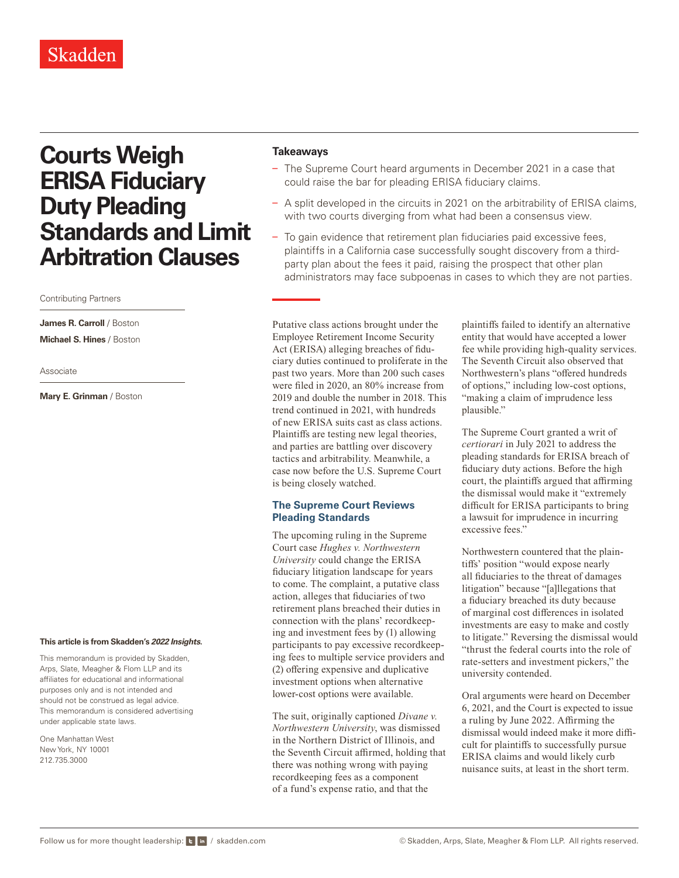# **Courts Weigh ERISA Fiduciary Duty Pleading Standards and Limit Arbitration Clauses**

### Contributing Partners

**James R. Carroll** / Boston

**Michael S. Hines** / Boston

Associate

**Mary E. Grinman** / Boston

#### **This article is from Skadden's** *[2022 Insights](https://www.skadden.com/insights/publications/2022/01/2022-insights/2022-insights)***.**

This memorandum is provided by Skadden, Arps, Slate, Meagher & Flom LLP and its affiliates for educational and informational purposes only and is not intended and should not be construed as legal advice. This memorandum is considered advertising under applicable state laws.

One Manhattan West New York, NY 10001 212.735.3000

## **Takeaways**

- The Supreme Court heard arguments in December 2021 in a case that could raise the bar for pleading ERISA fiduciary claims.
- A split developed in the circuits in 2021 on the arbitrability of ERISA claims, with two courts diverging from what had been a consensus view.
- To gain evidence that retirement plan fiduciaries paid excessive fees, plaintiffs in a California case successfully sought discovery from a thirdparty plan about the fees it paid, raising the prospect that other plan administrators may face subpoenas in cases to which they are not parties.

Putative class actions brought under the Employee Retirement Income Security Act (ERISA) alleging breaches of fiduciary duties continued to proliferate in the past two years. More than 200 such cases were filed in 2020, an 80% increase from 2019 and double the number in 2018. This trend continued in 2021, with hundreds of new ERISA suits cast as class actions. Plaintiffs are testing new legal theories, and parties are battling over discovery tactics and arbitrability. Meanwhile, a case now before the U.S. Supreme Court is being closely watched.

# **The Supreme Court Reviews Pleading Standards**

The upcoming ruling in the Supreme Court case *Hughes v. Northwestern University* could change the ERISA fiduciary litigation landscape for years to come. The complaint, a putative class action, alleges that fiduciaries of two retirement plans breached their duties in connection with the plans' recordkeeping and investment fees by (1) allowing participants to pay excessive recordkeeping fees to multiple service providers and (2) offering expensive and duplicative investment options when alternative lower-cost options were available.

The suit, originally captioned *Divane v. Northwestern University*, was dismissed in the Northern District of Illinois, and the Seventh Circuit affirmed, holding that there was nothing wrong with paying recordkeeping fees as a component of a fund's expense ratio, and that the

plaintiffs failed to identify an alternative entity that would have accepted a lower fee while providing high-quality services. The Seventh Circuit also observed that Northwestern's plans "offered hundreds of options," including low-cost options, "making a claim of imprudence less plausible."

The Supreme Court granted a writ of *certiorari* in July 2021 to address the pleading standards for ERISA breach of fiduciary duty actions. Before the high court, the plaintiffs argued that affirming the dismissal would make it "extremely difficult for ERISA participants to bring a lawsuit for imprudence in incurring excessive fees."

Northwestern countered that the plaintiffs' position "would expose nearly all fiduciaries to the threat of damages litigation" because "[a]llegations that a fiduciary breached its duty because of marginal cost differences in isolated investments are easy to make and costly to litigate." Reversing the dismissal would "thrust the federal courts into the role of rate-setters and investment pickers," the university contended.

Oral arguments were heard on December 6, 2021, and the Court is expected to issue a ruling by June 2022. Affirming the dismissal would indeed make it more difficult for plaintiffs to successfully pursue ERISA claims and would likely curb nuisance suits, at least in the short term.